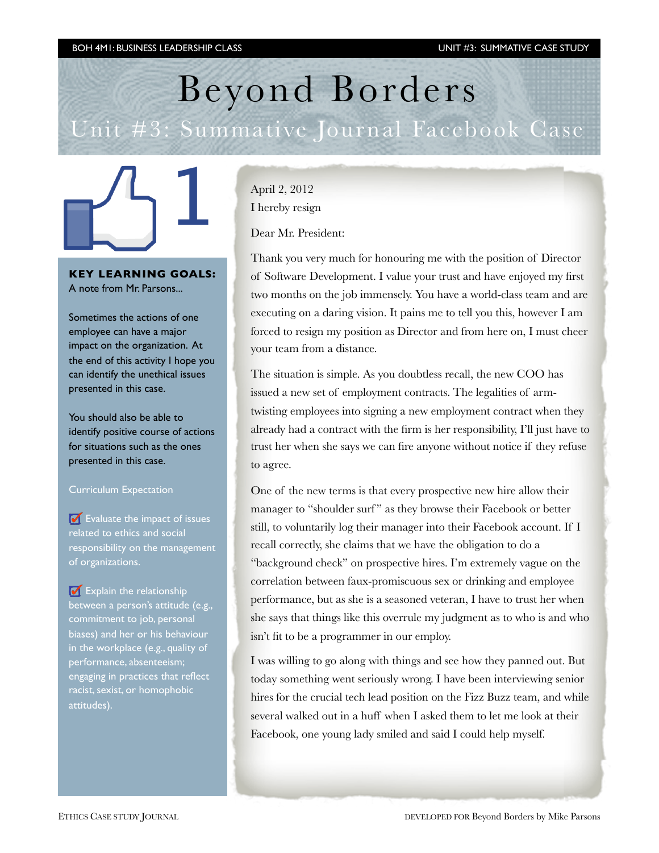# Beyond Borders Unit #3: Summative Journal Facebook Case



**KEY LEARNING GOALS:** A note from Mr. Parsons...

Sometimes the actions of one employee can have a major impact on the organization. At the end of this activity I hope you can identify the unethical issues presented in this case.

You should also be able to identify positive course of actions for situations such as the ones presented in this case.

#### Curriculum Expectation

 $\bullet$  Evaluate the impact of issues related to ethics and social responsibility on the management of organizations.

Explain the relationship between a person's attitude (e.g., commitment to job, personal biases) and her or his behaviour in the workplace (e.g., quality of performance, absenteeism; engaging in practices that reflect racist, sexist, or homophobic attitudes).

[April 2, 2012](http://raganwald.posterous.com/i-hereby-resign) [I hereby resign](http://raganwald.posterous.com/i-hereby-resign)

Dear Mr. President:

Thank you very much for honouring me with the position of Director of Software Development. I value your trust and have enjoyed my first two months on the job immensely. You have a world-class team and are executing on a daring vision. It pains me to tell you this, however I am forced to resign my position as Director and from here on, I must cheer your team from a distance.

The situation is simple. As you doubtless recall, the new COO has issued a new set of employment contracts. The legalities of armtwisting employees into signing a new employment contract when they already had a contract with the firm is her responsibility, I'll just have to trust her when she says we can fire anyone without notice if they refuse to agree.

One of the new terms is that every prospective new hire allow their manager to "shoulder surf" as they browse their Facebook or better still, to voluntarily log their manager into their Facebook account. If I recall correctly, she claims that we have the obligation to do a "background check" on prospective hires. I'm extremely vague on the correlation between faux-promiscuous sex or drinking and employee performance, but as she is a seasoned veteran, I have to trust her when she says that things like this overrule my judgment as to who is and who isn't fit to be a programmer in our employ.

I was willing to go along with things and see how they panned out. But today something went seriously wrong. I have been interviewing senior hires for the crucial tech lead position on the Fizz Buzz team, and while several walked out in a huff when I asked them to let me look at their Facebook, one young lady smiled and said I could help myself.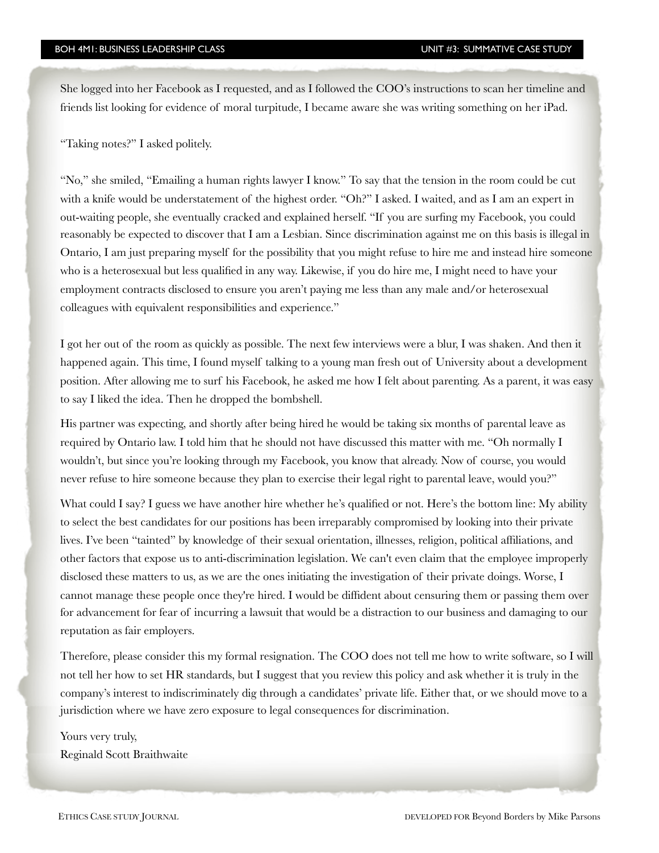She logged into her Facebook as I requested, and as I followed the COO's instructions to scan her timeline and friends list looking for evidence of moral turpitude, I became aware she was writing something on her iPad.

"Taking notes?" I asked politely.

"No," she smiled, "Emailing a human rights lawyer I know." To say that the tension in the room could be cut with a knife would be understatement of the highest order. "Oh?" I asked. I waited, and as I am an expert in out-waiting people, she eventually cracked and explained herself. "If you are surfing my Facebook, you could reasonably be expected to discover that I am a Lesbian. Since discrimination against me on this basis is illegal in Ontario, I am just preparing myself for the possibility that you might refuse to hire me and instead hire someone who is a heterosexual but less qualified in any way. Likewise, if you do hire me, I might need to have your employment contracts disclosed to ensure you aren't paying me less than any male and/or heterosexual colleagues with equivalent responsibilities and experience."

I got her out of the room as quickly as possible. The next few interviews were a blur, I was shaken. And then it happened again. This time, I found myself talking to a young man fresh out of University about a development position. After allowing me to surf his Facebook, he asked me how I felt about parenting. As a parent, it was easy to say I liked the idea. Then he dropped the bombshell.

His partner was expecting, and shortly after being hired he would be taking six months of parental leave as required by Ontario law. I told him that he should not have discussed this matter with me. "Oh normally I wouldn't, but since you're looking through my Facebook, you know that already. Now of course, you would never refuse to hire someone because they plan to exercise their legal right to parental leave, would you?"

What could I say? I guess we have another hire whether he's qualified or not. Here's the bottom line: My ability to select the best candidates for our positions has been irreparably compromised by looking into their private lives. I've been "tainted" by knowledge of their sexual orientation, illnesses, religion, political affiliations, and other factors that expose us to anti-discrimination legislation. We can't even claim that the employee improperly disclosed these matters to us, as we are the ones initiating the investigation of their private doings. Worse, I cannot manage these people once they're hired. I would be diffident about censuring them or passing them over for advancement for fear of incurring a lawsuit that would be a distraction to our business and damaging to our reputation as fair employers.

Therefore, please consider this my formal resignation. The COO does not tell me how to write software, so I will not tell her how to set HR standards, but I suggest that you review this policy and ask whether it is truly in the company's interest to indiscriminately dig through a candidates' private life. Either that, or we should move to a jurisdiction where we have zero exposure to legal consequences for discrimination.

Yours very truly, Reginald Scott Braithwaite